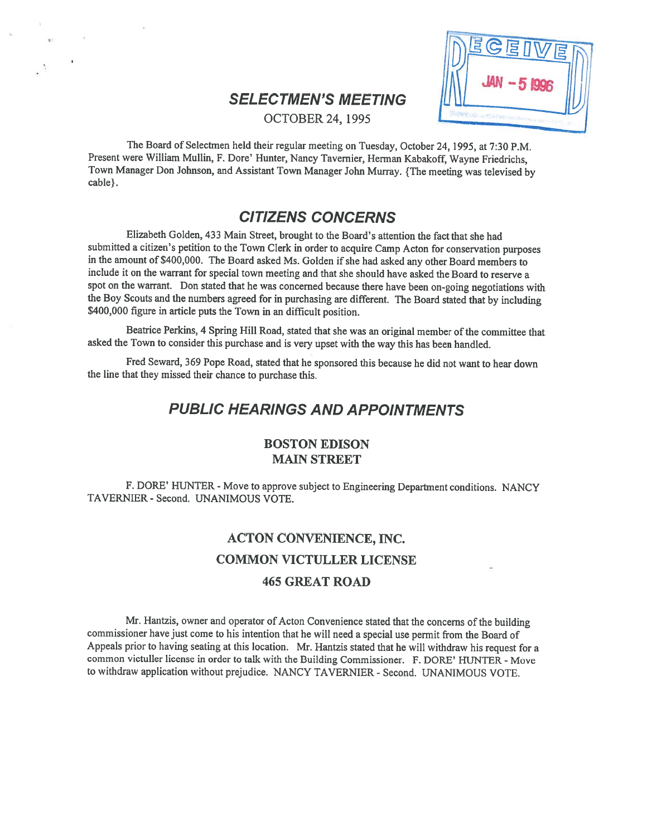# **SELECTMEN'S MEETING**

**OCTOBER 24, 1995** 



The Board of Selectmen held their regular meeting on Tuesday, October 24, 1995, at 7:30 P.M. Present were William Mullin, F. Dore' Hunter, Nancy Tavemier, Herman Kabakoff, Wayne Friedrichs, Town Manager Don Johnson, and Assistant Town Manager John Murray. {The meeting was televised by cable}.

# CITIZENS CONCERNS

Elizabeth Golden, 433 Main Street, brought to the Board's attention the fact that she had submitted <sup>a</sup> citizen's petition to the Town Clerk in order to acquire Camp Acton for conservation purposes in the amount of \$400,000. The Board asked Ms. Golden if she had asked any other Board members to include it on the warrant for special town meeting and that she should have asked the Board to reserve <sup>a</sup> spo<sup>t</sup> on the warrant. Don stated that he was concerned because there have been on-going negotiations with the Boy Scouts and the numbers agree<sup>d</sup> for in purchasing are different. The Board stated that by including \$400,000 figure in article puts the Town in an difficult position.

Beatrice Perkins, 4 Spring Hill Road, stated that she was an original member of the committee that asked the Town to consider this purchase and is very upse<sup>t</sup> with the way this has been handled.

Fred Seward, <sup>369</sup> Pope Road, stated that he sponsore<sup>d</sup> this because he did not want to hear down the line that they missed their chance to purchase this.

# PUBLIC HEARINGS AND APPOINTMENTS

## BOSTON EDISON MAIN STREET

F. DORE' HUNTER - Move to approve subject to Engineering Department conditions. NANCY TAVERNIER - Second. UNANIMOUS VOTE.

# ACTON CONVENIENCE, INC. COMMON VICTULLER LICENSE 465 GREAT ROAD

Mr. Hantzis, owner and operator of Acton Convenience stated that the concerns of the building commissioner have just come to his intention that he will need <sup>a</sup> special use permit from the Board of Appeals prior to having seating at this location. Mr. Hantzis stated that he will withdraw his reques<sup>t</sup> for <sup>a</sup> common victuller license in order to talk with the Building Commissioner. F. DORE' HUNTER - Move to withdraw application without prejudice. NANCY TAVERNIER - Second. UNANIMOUS VOTE.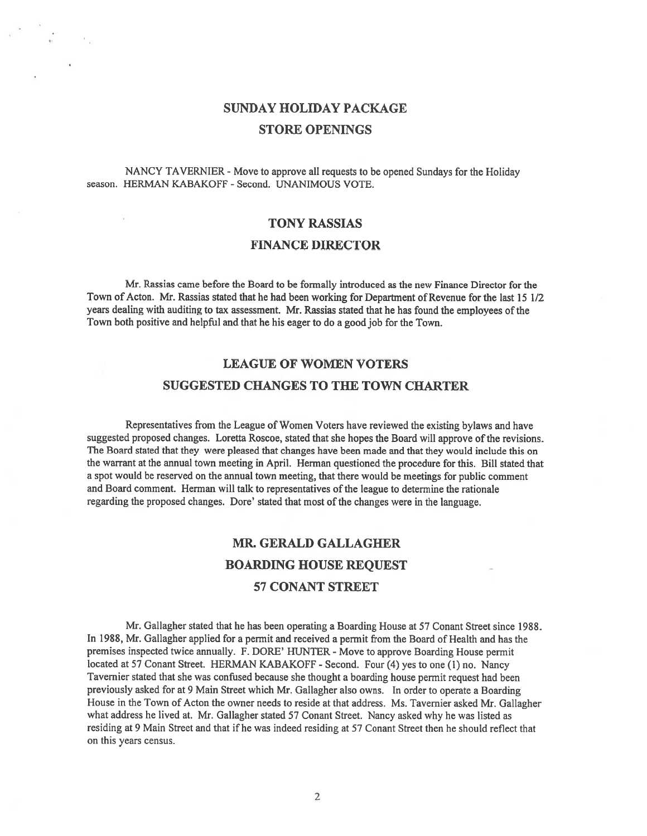# SUNDAY HOLIDAY PACKAGE STORE OPENINGS

NANCY TAVERNIER - Move to approve all requests to be opened Sundays for the Holiday season. HERMAN KABAKOFF - Second. UNANIMOUS VOTE.

# TONY RASSIAS FINANCE DIRECTOR

Mr. Rassias came before the Board to be formally introduced as the new Finance Director for the Town of Acton. Mr. Rassias stated that he had been working for Department of Revenue for the last 15 1/2 years dealing with auditing to tax assessment. Mr. Rassias stated that he has found the employees of the Town both positive and helpful and that he his eager to do <sup>a</sup> good job for the Town.

# LEAGUE OF WOMEN VOTERS SUGGESTED CHANGES TO THE TOWN CHARTER

Representatives from the League of Women Voters have reviewed the existing bylaws and have suggested proposed changes. Loretta Roscoe, stated that she hopes the Board will approve of the revisions. The Board stated that they were <sup>p</sup>leased that changes have been made and that they would include this on the warrant at the annual town meeting in April. Herman questioned the procedure for this. Bill stated that <sup>a</sup> spo<sup>t</sup> would be reserved on the annual town meeting, that there would be meetings for public comment and Board comment. Herman will talk to representatives of the league to determine the rationale regarding the proposed changes. Dore' stated that most of the changes were in the language.

# MR. GERALD GALLAGHER BOARDING HOUSE REQUEST 57 CONANT STREET

Mr. Gallagher stated that he has been operating <sup>a</sup> Boarding House at 57 Conant Street since 1988. In 1988, Mr. Gallagher applied for <sup>a</sup> permit and received <sup>a</sup> permit from the Board of Health and has the premises inspected twice annually. F. DORE' FIUNTER -Move to approve Boarding House permit located at <sup>57</sup> Conant Street. HERMAN KABAKOFF - Second. Four (4) yes to one (1) no. Nancy Tavemier stated that she was confused because she thought <sup>a</sup> boarding house permit reques<sup>t</sup> had been previously asked for at <sup>9</sup> Main Street which Mr. Gallagher also owns. In order to operate <sup>a</sup> Boarding House in the Town of Acton the owner needs to reside at that address. Ms. Tavemier asked Mr. Gallagher what address he lived at. Mr. Gallagher stated 57 Conant Street. Nancy asked why he was listed as residing at 9 Main Street and that if he was indeed residing at 57 Conant Street then he should reflect that on this years census.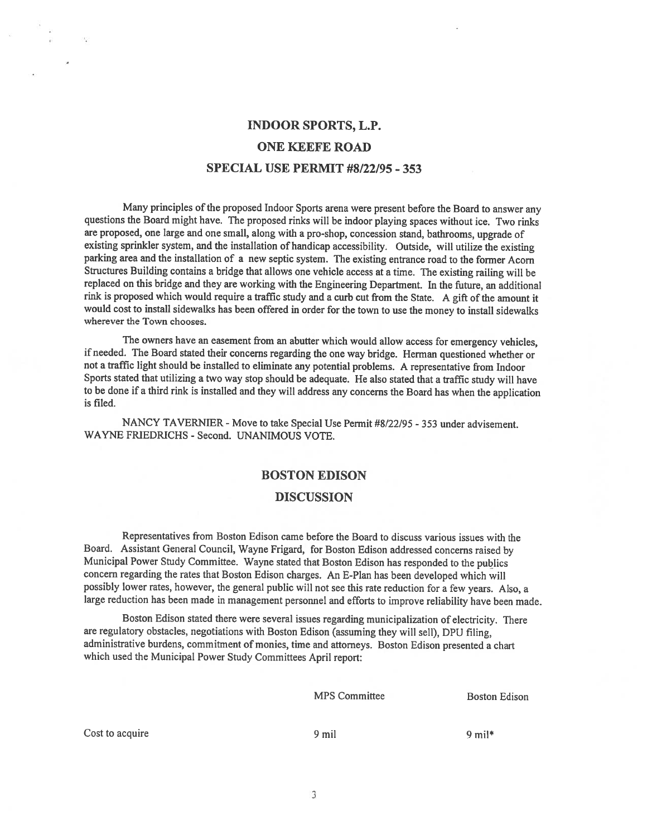# INDOOR SPORTS, LP. ONE KEEFE ROAD SPECIAL USE PERMIT #8/22/95 - 353

Many principles of the proposed Indoor Sports arena were present before the Board to answer any questions the Board might have. The propose<sup>d</sup> rinks will be indoor <sup>p</sup>laying spaces without ice. Two rinks are proposed, one large and one small, along with <sup>a</sup> pro-shop, concession stand, bathrooms, upgrade of existing sprinkler system, and the installation of handicap accessibility. Outside, will utilize the existing parking area and the installation of a new septic system. The existing entrance road to the former Acorn Structures Building contains <sup>a</sup> bridge that allows one vehicle access at <sup>a</sup> time. The existing railing will be replaced on this bridge and they are working with the Engineering Department. In the future, an additional rink is propose<sup>d</sup> which would require <sup>a</sup> traffic study and <sup>a</sup> curb cut from the State. <sup>A</sup> <sup>g</sup>ift ofthe amount it would cost to install sidewalks has been offered in order for the town to use the money to install sidewalks wherever the Town chooses.

The owners have an easement from an abutter which would allow access for emergency vehicles, if needed. The Board stated their concerns regarding the one way bridge. Herman questioned whether or not <sup>a</sup> traffic light should be installed to eliminate any potential problems. <sup>A</sup> representative from Indoor Sports stated that utilizing <sup>a</sup> two way stop should be adequate. He also stated that <sup>a</sup> traffic study will have to be done if <sup>a</sup> third rink is installed and they will address any concerns the Board has when the application is filed.

NANCY TAVERNIER - Move to take Special Use Permit #8/22/95 - 353 under advisement. WAYNE FRJEDRICHS - Second. UNANIMOUS VOTE.

### BOSTON EDISON

#### DISCUSSION

Representatives from Boston Edison came before the Board to discuss various issues with the Board. Assistant General Council, Wayne Frigard, for Boston Edison addressed concerns raised by Municipal Power Study Committee. Wayne stated that Boston Edison has responded to the publics concern regarding the rates that Boston Edison charges. An E-Plan has been developed which will possibly lower rates, however, the genera<sup>l</sup> public will not see this rate reduction for <sup>a</sup> few years. Also, <sup>a</sup> large reduction has been made in managemen<sup>t</sup> personne<sup>l</sup> and efforts to improve reliability have been made.

Boston Edison stated there were several issues regarding municipalization of electricity. There are regulatory obstacles, negotiations with Boston Edison (assuming they will sell), DPU filing, administrative burdens, commitment of monies, time and attorneys. Boston Edison presented <sup>a</sup> chart which used the Municipal Power Study Committees April report:

MPS Committee Boston Edison

Cost to acquire 9 mil 9 mil 9 mil 4 mil 9 mil 4 mil 9 mil 4 mil 9 mil 4 mil 4 mil 4 mil 4 mil 4 mil 4 mil 4 mil 4 mil 4 mil 4 mil 4 mil 4 mil 4 mil 4 mil 4 mil 4 mil 4 mil 4 mil 4 mil 4 mil 4 mil 4 mil 4 mil 4 mil 4 mil 4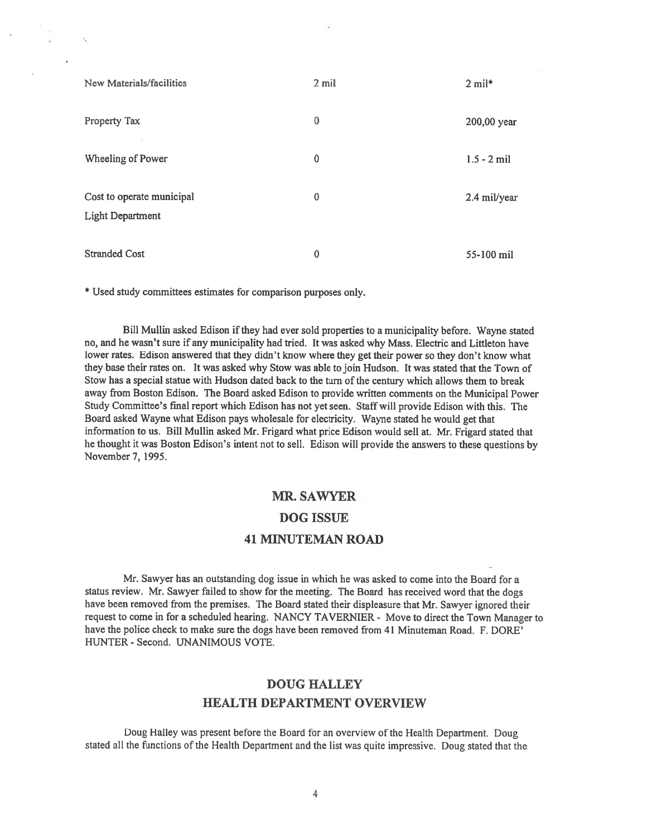| New Materials/facilities                             | 2 mil    | $2$ mil*      |
|------------------------------------------------------|----------|---------------|
| Property Tax                                         | $\bf{0}$ | 200,00 year   |
| Wheeling of Power                                    | 0        | $1.5 - 2$ mil |
| Cost to operate municipal<br><b>Light Department</b> | 0        | 2.4 mil/year  |
| <b>Stranded Cost</b>                                 | 0        | 55-100 mil    |

\* Used study committees estimates for comparison purposes only.

Bill Mullin asked Edison if they had ever sold properties to a municipality before. Wayne stated no, and he wasn't sure if any municipality had tried. It was asked why Mass. Electric and Littleton have lower rates. Edison answered that they didn't know where they ge<sup>t</sup> their power so they don't know what they base their rates on. It was asked why Stow was able to join Hudson. It was stated that the Town of Stow has a special statue with Hudson dated back to the turn of the century which allows them to break away from Boston Edison. The Board asked Edison to provide written comments on the Municipal Power Study Committee's final repor<sup>t</sup> which Edison has not ye<sup>t</sup> seen. Staff will provide Edison with this. The Board asked Wayne what Edison pays wholesale for electricity. Wayne stated he would ge<sup>t</sup> that information to us. Bill Mullin asked Mr. Frigard what price Edison would sell at. Mr. Frigard stated that he thought it was Boston Edison's intent not to sell. Edison will provide the answers to these questions by November 7, 1995.

### MR. SAWYER

### DOG ISSUE

### 41 MINUTEMAN ROAD

Mr. Sawyer has an outstanding dog issue in which he was asked to come into the Board for <sup>a</sup> status review. Mr. Sawyer failed to show for the meeting. The Board has received word that the dogs have been removed from the premises. The Board stated their displeasure that Mr. Sawyer ignored their reques<sup>t</sup> to come in for <sup>a</sup> scheduled hearing. NANCY TAVERNIER - Move to direct the Town Manager to have the police check to make sure the dogs have been removed from 41 Minuteman Road. F. DORE' HUNTER - Second. UNANIMOUS VOTE.

# DOUG HALLEY HEALTH DEPARTMENT OVERVIEW

Doug Halley was presen<sup>t</sup> before the Board for an overview of the Health Department. Doug stated all the functions of the Health Department and the list was quite impressive. Doug stated that the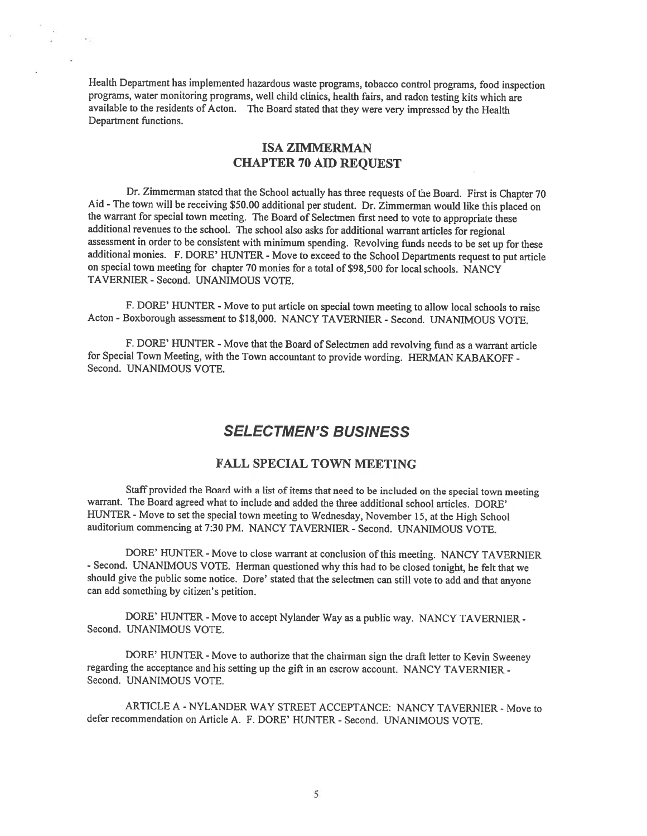Health Department has implemented hazardous waste programs, tobacco control programs, food inspection programs, water monitoring programs, well child clinics, health fairs, and radon testing kits which are available to the residents of Acton. The Board stated that they were very impressed by the Health Department functions.

## ISA ZIMMERMAN CHAPTER 70 AID REQUEST

Dr. Zimmerman stated that the School actually has three requests of the Board. First is Chapter 70 Aid - The town will be receiving \$50.00 additional per student. Dr. Zimmerman would like this <sup>p</sup>laced on the warrant for special town meeting. The Board of Selectmen first need to vote to appropriate these additional revenues to the school. The school also asks for additional warrant articles for regional assessment in order to be consistent with minimum spending. Revolving funds needs to be set up for these additional monies. F. DORE' HUNTER - Move to exceed to the School Departments request to put article on special town meeting for chapter 70 monies for <sup>a</sup> total of \$98,500 for local schools. NANCY TAVERNIER - Second. UNANIMOUS VOTE.

F. DORE' HUNTER - Move to put article on special town meeting to allow local schools to raise Acton -Boxborough assessment to \$18,000. NANCY TAVERNIER - Second. UNANIMOUS VOTE.

F. DORE' HUNTER - Move that the Board of Selectmen add revolving fund as <sup>a</sup> warrant article for Special Town Meeting, with the Town accountant to provide wording. HERMAN KABAKOFF - Second. UNANIMOUS VOTE.

# SELECTMEN'S BUSINESS

### FALL SPECIAL TOWN MEETING

Staff provided the Board with <sup>a</sup> list of items that need to be included on the special town meeting warrant. The Board agreed what to include and added the three additional school articles. DORE' HUNTER - Move to set the special town meeting to Wednesday, November 15, at the High School auditorium commencing at 7:30 PM. NANCY TAVERNIER - Second. UNANIMOUS VOTE.

DORE' HUNTER - Move to close warrant at conclusion of this meeting. NANCY TAVERNIER - Second. UNANIMOUS VOTE. Herman questioned why this had to be closed tonight, he felt that we should <sup>g</sup>ive the public some notice. Dore' stated that the selectmen can still vote to add and that anyone can add something by citizen's petition.

DORE' HUNTER - Move to accept Nylander Way as a public way. NANCY TAVERNIER -Second. UNANIMOUS VOTE.

DORE' HUNTER - Move to authorize that the chairman sign the draft letter to Kevin Sweeney regarding the acceptance and his setting up the <sup>g</sup>ift in an escrow account. NANCY TAVERNIER - Second. UNANIMOUS VOTE.

ARTICLE A -NYLANDER WAY STREET ACCEPTANCE: NANCY TAVERNIER - Move to defer recommendation on Article A. F. DORE' HUNTER - Second. UNANIMOUS VOTE.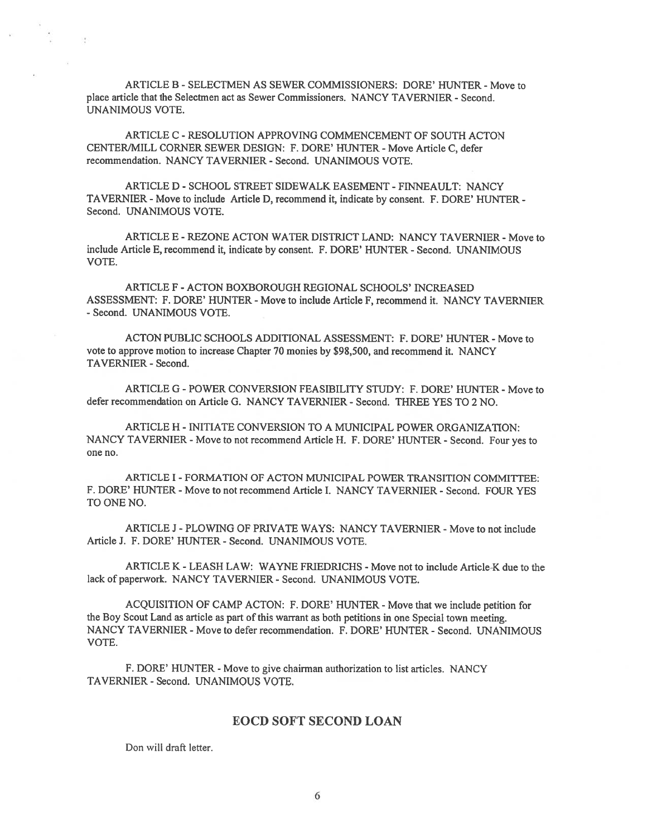ARTICLE B - SELECTMEN AS SEWER COMMISSIONERS: DORE' HUNTER - Move to place article that the Selectmen act as Sewer Commissioners. NANCY TAVERNIER - Second. UNANIMOUS VOTE.

ARTICLE C -RESOLUTION APPROVING COMMENCEMENT Of SOUTH ACTON CENTER/MILL CORNER SEWER DESIGN: F. DORE' HUNTER - Move Article C, defer recommendation. NANCY TAVERNIER - Second. UNANIMOUS VOTE.

ARTICLE D - SCHOOL STREET SIDEWALK EASEMENT - FINNEAULT: NANCY TAVERNIER - Move to include Article D, recommend it, indicate by consent. F. DORE' HUNTER - Second. UNANIMOUS VOTE.

ARTICLE E -REZONE ACTON WATER DISTRICT LAND: NANCY TAVERNIER - Move to include Article E, recommend it, indicate by consent. F. DORE' HUNTER - Second. UNANIMOUS VOTE.

ARTICLE F -ACTON BOXBOROUGH REGIONAL SCHOOLS' INCREASED ASSESSMENT: F. DORE' HUNTER - Move to include Article F, recommend it. NANCY TAVERNIER - Second. UNANIMOUS VOTE.

ACTON PUBLIC SCHOOLS ADDITIONAL ASSESSMENT: F. DORE' HUNTER - Move to vote to approve motion to increase Chapter 70 monies by \$98,500, and recommend it. NANCY TAVERNIER - Second.

ARTICLE G - POWER CONVERSION FEASIBILITY STUDY: F. DORE' HUNTER - Move to defer recommendation on Article G. NANCY TAVERNIER - Second. THREE YES TO 2 NO.

ARTICLE H - INITIATE CONVERSION TO A MUNICIPAL POWER ORGANIZATION: NANCY TAVERNIER - Move to not recommend Article H. F. DORE' HUNTER - Second. Four yes to one no.

ARTICLE I FORMATION Of ACTON MUNICIPAL POWER TRANSITION COMMITTEE: F. DORE' HUNTER - Move to not recommend Article I. NANCY TAVERNIER - Second. FOUR YES TO ONE NO.

ARTICLE J - PLOWING OF PRIVATE WAYS: NANCY TAVERNIER - Move to not include Article J. F. DORE' HUNTER - Second. UNANIMOUS VOTE.

ARTICLE K - LEASH LAW: WAYNE FRIEDRICHS - Move not to include Article-K due to the lack of paperwork. NANCY TAVERNIER - Second. UNANIMOUS VOTE.

ACQUISITION Of CAMP ACTON: F. DORE' HUNTER - Move that we include petition for the Boy Scout Land as article as par<sup>t</sup> of this warrant as both petitions in one Special town meeting. NANCY TAVERNIER - Move to defer recommendation. F. DORE' HUNTER - Second. UNANIMOUS VOTE.

f. DORE' HUNTER - Move to give chairman authorization to list articles. NANCY TAVERNIER - Second. UNANIMOUS VOTE.

### EOCD SOFT SECOND LOAN

Don will draft letter.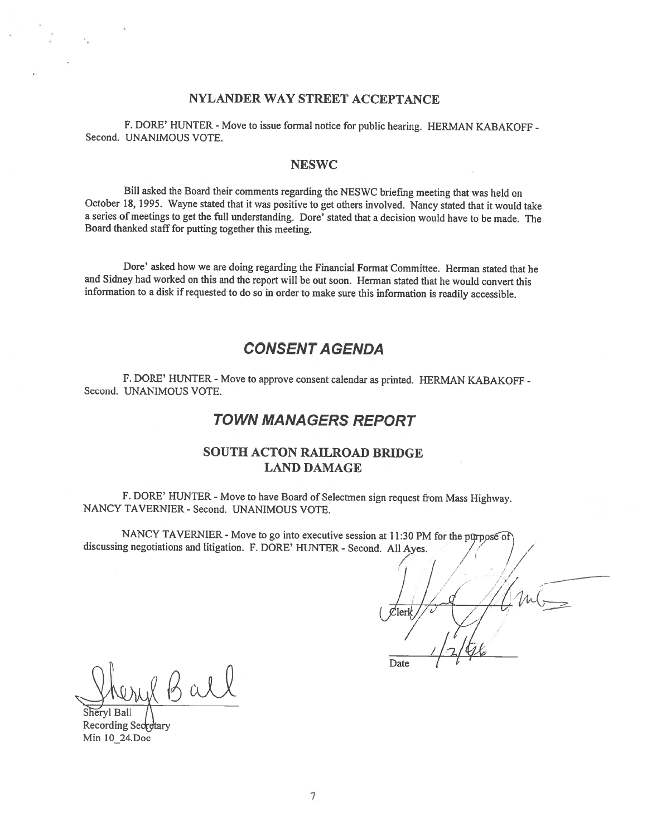### NYLANDER WAY STREET ACCEPTANCE

F. DORE' HUNTER - Move to issue formal notice for public hearing. HERMAN KABAKOFF - Second. UNANIMOUS VOTE.

### **NESWC**

Bill asked the Board their comments regarding the NESWC briefing meeting that was held on October 18, 1995. Wayne stated that it was positive to get others involved. Nancy stated that it would take <sup>a</sup> series of meetings to get the full understanding. Dore' stated that <sup>a</sup> decision would have to be made. The Board thanked staff for putting together this meeting.

Dore' asked how we are doing regarding the Financial Format Committee. Herman stated that he and Sidney had worked on this and the report will be out soon. Herman stated that he would convert this information to a disk if requested to do so in order to make sure this information is readily accessible.

## CONSENT A GENDA

F. DORE' HUNTER - Move to approve consent calendar as printed. HERMAN KABAKOFF -Second. UNANIMOUS VOTE.

## TOWN MANAGERS REPORT

## SOUTH ACTON RAILROAD BRIDGE LAND DAMAGE

F. DORE' HUNTER - Move to have Board of Selectmen sign request from Mass Highway. NANCY TAVERNIER - Second. UNANIMOUS VOTE.

NANCY TAVERNIER - Move to go into executive session at 11:30 PM for the purpose of discussing negotiations and litigation. F. DORE' HUNTER - Second. All Ayes.

 $\prime$  /  $\prime$ Date

Bal

Sheryl Ball Recording Secretary Min 10 24.Doc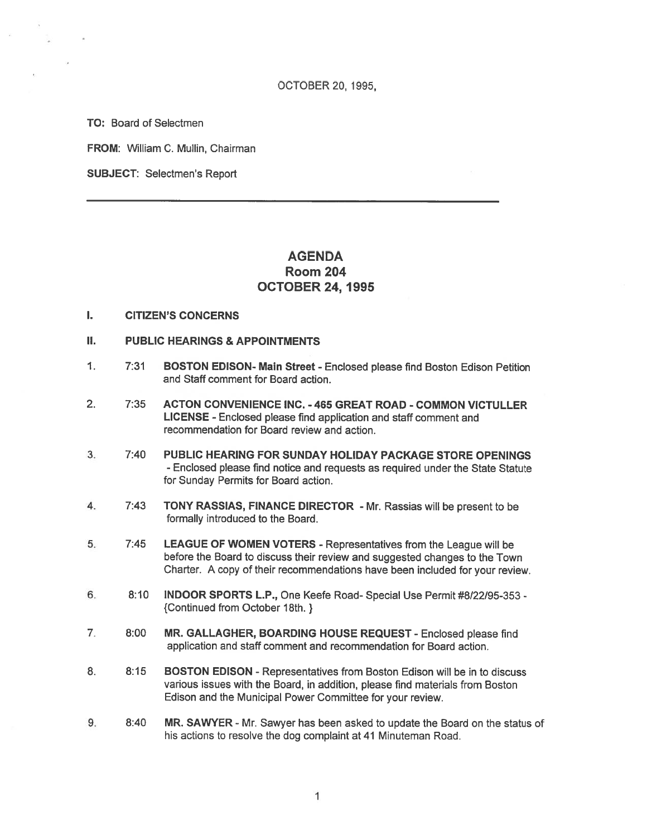TO: Board of Selectmen

FROM: William C. Mullin, Chairman

SUBJECT: Selectmen's Report

# AGENDA Room 204 OCTOBER 24, 1995

- I. CITIZEN'S CONCERNS
- II. PUBLIC HEARINGS & APPOINTMENTS
- 1. 7:31 BOSTON EDISON- Main Street Enclosed <sup>p</sup>lease find Boston Edison Petition and Staff comment for Board action.
- 2. 7:35 ACTON CONVENIENCE INC. 465 GREAT ROAD COMMON VICTULLER LICENSE - Enclosed please find application and staff comment and recommendation for Board review and action.
- 3. 7:40 PUBLIC HEARING FOR SUNDAY HOLIDAY PACKAGE STORE OPENINGS - Enclosed <sup>p</sup>lease find notice and requests as requited under the State Statute for Sunday Permits for Board action.
- 4. 7:43 TONY RASSIAS, FINANCE DIRECTOR Mr. Rassias will be presen<sup>t</sup> to be formally introduced to the Board.
- 5. 7:45 LEAGUE OF WOMEN VOTERS Representatives from the League will be before the Board to discuss their review and suggested changes to the Town Chatter. <sup>A</sup> copy of their recommendations have been included for your review.
- 6. 8:10 INDOOR SPORTS L.P., One Keefe Road- Special Use Permit #8/22/95-353 {Continued from October 18th. }
- 7. 8:00 MR. GALLAGHER, BOARDING HOUSE REQUEST Enclosed please find application and staff comment and recommendation for Board action.
- 8. 8:15 BOSTON EDISON Representatives from Boston Edison will be in to discuss various issues with the Board, in addition, please find materials from Boston Edison and the Municipal Power Committee for your review.
- 9. 8:40 MR. SAWYER Mr. Sawyer has been asked to update the Board on the status of his actions to resolve the dog complaint at 41 Minuteman Road.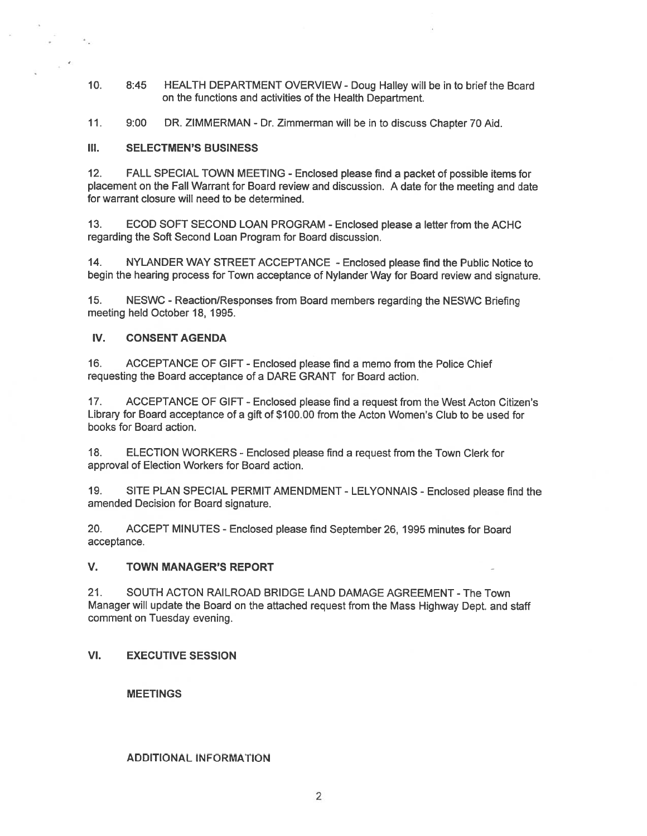- 10. 8:45 HEALTH DEPARTMENT OVERVIEW- Doug Halley will be in to brief the Board on the functions and activities of the Health Department.
- 11. 9:00 DR. ZIMMERMAN Dr. Zimmerman will be in to discuss Chapter 70 Aid.

#### III. SELECTMEN'S BUSINESS

12. FALL SPECIAL TOWN MEETING - Enclosed <sup>p</sup>lease find <sup>a</sup> packet of possible items for <sup>p</sup>lacement on the Fall Warrant for Board review and discussion. <sup>A</sup> date for the meeting and date for warrant closure will need to be determined.

13. ECOD SOFT SECOND LOAN PROGRAM -Enclosed please <sup>a</sup> letter from the ACHC regarding the Soft Second Loan Program for Board discussion.

14. NYLANDER WAY STREET ACCEPTANCE -Enclosed please find the Public Notice to begin the hearing process for Town acceptance of Nylander Way for Board review and signature.

15. NESWC - Reaction/Responses from Board members regarding the NESWC Briefing meeting held October 18, 1995.

### IV. CONSENT AGENDA

16. ACCEPTANCE OF GIFT - Enclosed please find <sup>a</sup> memo from the Police Chief requesting the Board acceptance of <sup>a</sup> DARE GRANT for Board action.

17. ACCEPTANCE OF GIFT -Enclosed please find <sup>a</sup> reques<sup>t</sup> from the West Acton Citizen's Library for Board acceptance of <sup>a</sup> gift of \$100.00 from the Acton Women's Club to be used for books for Board action.

18. ELECTION WORKERS - Enclosed please find <sup>a</sup> reques<sup>t</sup> from the Town Clerk for approval of Election Workers for Board action.

19. SITE PLAN SPECIAL PERMIT AMENDMENT- LELYONNAIS - Enclosed <sup>p</sup>lease find the amended Decision for Board signature.

20. ACCEPT MINUTES -Enclosed please find September 26, 1995 minutes for Board acceptance.

### V. TOWN MANAGER'S REPORT

21. SOUTH ACTON RAILROAD BRIDGE LAND DAMAGE AGREEMENT -The Town Manager will update the Board on the attached reques<sup>t</sup> from the Mass Highway Dept. and staff comment on Tuesday evening.

### VI. EXECUTIVE SESSION

MEETINGS

### ADDITIONAL INFORMATION

2